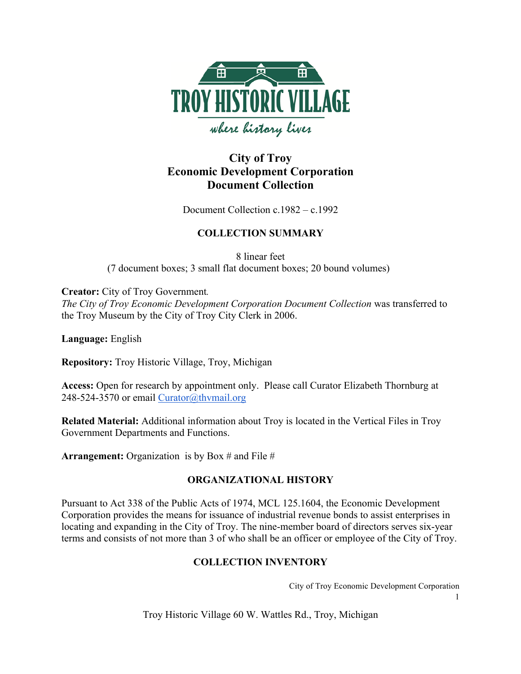

# **City of Troy Economic Development Corporation Document Collection**

Document Collection c.1982 – c.1992

## **COLLECTION SUMMARY**

8 linear feet (7 document boxes; 3 small flat document boxes; 20 bound volumes)

**Creator:** City of Troy Government*.* 

*The City of Troy Economic Development Corporation Document Collection* was transferred to the Troy Museum by the City of Troy City Clerk in 2006.

**Language:** English

**Repository:** Troy Historic Village, Troy, Michigan

**Access:** Open for research by appointment only. Please call Curator Elizabeth Thornburg at 248-524-3570 or email Curator@thvmail.org

**Related Material:** Additional information about Troy is located in the Vertical Files in Troy Government Departments and Functions.

**Arrangement:** Organization is by Box # and File #

## **ORGANIZATIONAL HISTORY**

Pursuant to Act 338 of the Public Acts of 1974, MCL 125.1604, the Economic Development Corporation provides the means for issuance of industrial revenue bonds to assist enterprises in locating and expanding in the City of Troy. The nine-member board of directors serves six-year terms and consists of not more than 3 of who shall be an officer or employee of the City of Troy.

## **COLLECTION INVENTORY**

City of Troy Economic Development Corporation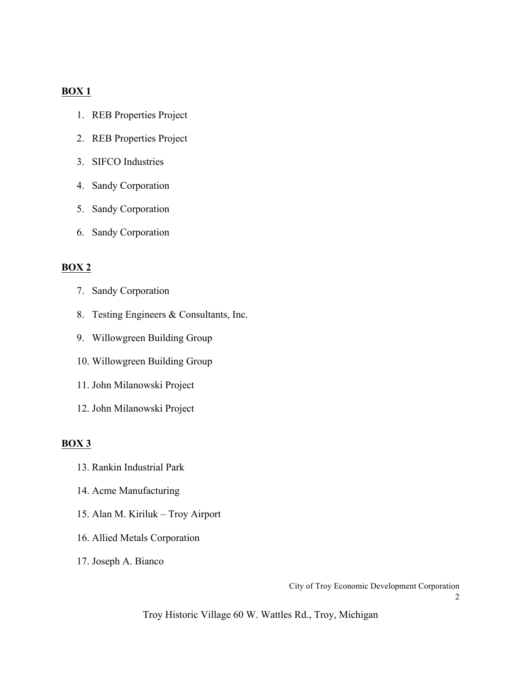## **BOX 1**

- 1. REB Properties Project
- 2. REB Properties Project
- 3. SIFCO Industries
- 4. Sandy Corporation
- 5. Sandy Corporation
- 6. Sandy Corporation

## **BOX 2**

- 7. Sandy Corporation
- 8. Testing Engineers & Consultants, Inc.
- 9. Willowgreen Building Group
- 10. Willowgreen Building Group
- 11. John Milanowski Project
- 12. John Milanowski Project

## **BOX 3**

- 13. Rankin Industrial Park
- 14. Acme Manufacturing
- 15. Alan M. Kiriluk Troy Airport
- 16. Allied Metals Corporation
- 17. Joseph A. Bianco

City of Troy Economic Development Corporation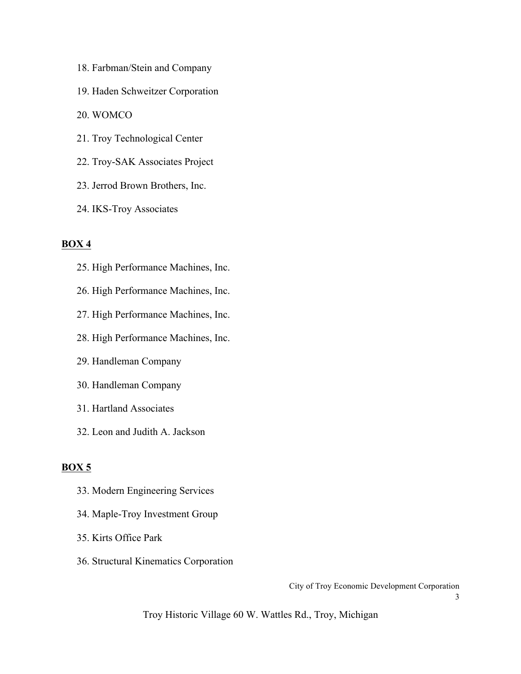- 18. Farbman/Stein and Company
- 19. Haden Schweitzer Corporation
- 20. WOMCO
- 21. Troy Technological Center
- 22. Troy-SAK Associates Project
- 23. Jerrod Brown Brothers, Inc.
- 24. IKS-Troy Associates

#### **BOX 4**

- 25. High Performance Machines, Inc.
- 26. High Performance Machines, Inc.
- 27. High Performance Machines, Inc.
- 28. High Performance Machines, Inc.
- 29. Handleman Company
- 30. Handleman Company
- 31. Hartland Associates
- 32. Leon and Judith A. Jackson

#### **BOX 5**

- 33. Modern Engineering Services
- 34. Maple-Troy Investment Group
- 35. Kirts Office Park
- 36. Structural Kinematics Corporation

City of Troy Economic Development Corporation

3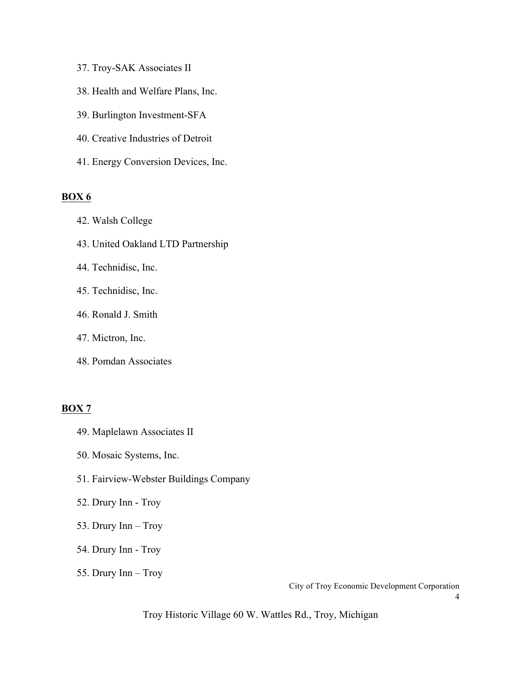- 37. Troy-SAK Associates II
- 38. Health and Welfare Plans, Inc.
- 39. Burlington Investment-SFA
- 40. Creative Industries of Detroit
- 41. Energy Conversion Devices, Inc.

#### **BOX 6**

- 42. Walsh College
- 43. United Oakland LTD Partnership
- 44. Technidisc, Inc.
- 45. Technidisc, Inc.
- 46. Ronald J. Smith
- 47. Mictron, Inc.
- 48. Pomdan Associates

#### **BOX 7**

- 49. Maplelawn Associates II
- 50. Mosaic Systems, Inc.
- 51. Fairview-Webster Buildings Company
- 52. Drury Inn Troy
- 53. Drury Inn Troy
- 54. Drury Inn Troy
- 55. Drury Inn Troy

City of Troy Economic Development Corporation

4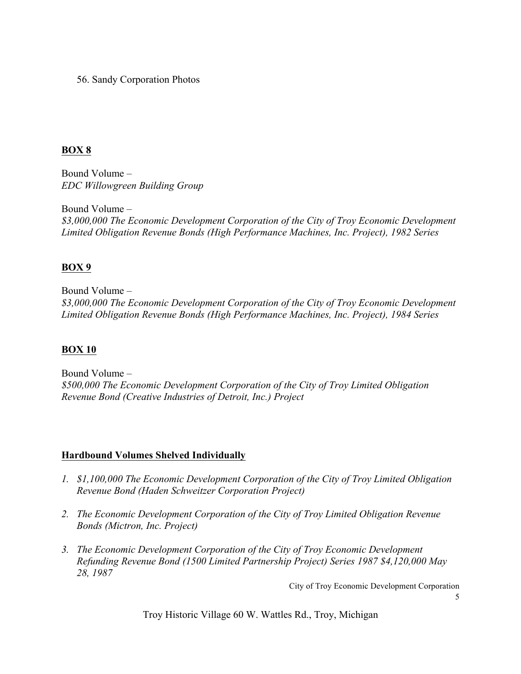56. Sandy Corporation Photos

## **BOX 8**

Bound Volume – *EDC Willowgreen Building Group*

Bound Volume – *\$3,000,000 The Economic Development Corporation of the City of Troy Economic Development Limited Obligation Revenue Bonds (High Performance Machines, Inc. Project), 1982 Series*

## **BOX 9**

Bound Volume – *\$3,000,000 The Economic Development Corporation of the City of Troy Economic Development Limited Obligation Revenue Bonds (High Performance Machines, Inc. Project), 1984 Series*

## **BOX 10**

Bound Volume – *\$500,000 The Economic Development Corporation of the City of Troy Limited Obligation Revenue Bond (Creative Industries of Detroit, Inc.) Project*

## **Hardbound Volumes Shelved Individually**

- *1. \$1,100,000 The Economic Development Corporation of the City of Troy Limited Obligation Revenue Bond (Haden Schweitzer Corporation Project)*
- *2. The Economic Development Corporation of the City of Troy Limited Obligation Revenue Bonds (Mictron, Inc. Project)*
- *3. The Economic Development Corporation of the City of Troy Economic Development Refunding Revenue Bond (1500 Limited Partnership Project) Series 1987 \$4,120,000 May 28, 1987*

City of Troy Economic Development Corporation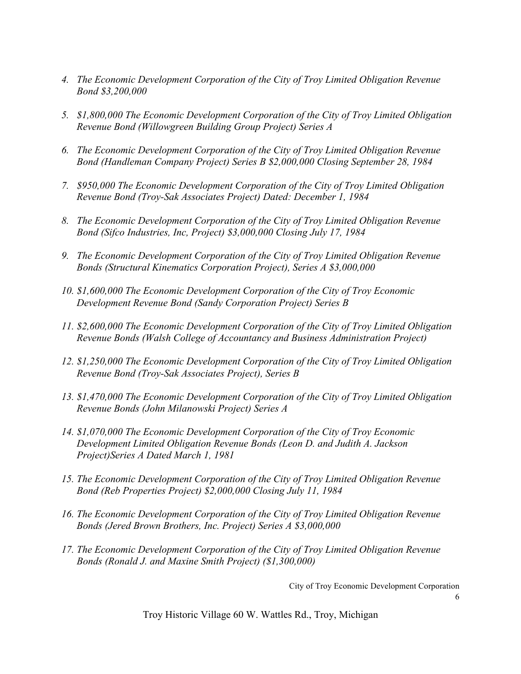- *4. The Economic Development Corporation of the City of Troy Limited Obligation Revenue Bond \$3,200,000*
- *5. \$1,800,000 The Economic Development Corporation of the City of Troy Limited Obligation Revenue Bond (Willowgreen Building Group Project) Series A*
- *6. The Economic Development Corporation of the City of Troy Limited Obligation Revenue Bond (Handleman Company Project) Series B \$2,000,000 Closing September 28, 1984*
- *7. \$950,000 The Economic Development Corporation of the City of Troy Limited Obligation Revenue Bond (Troy-Sak Associates Project) Dated: December 1, 1984*
- *8. The Economic Development Corporation of the City of Troy Limited Obligation Revenue Bond (Sifco Industries, Inc, Project) \$3,000,000 Closing July 17, 1984*
- *9. The Economic Development Corporation of the City of Troy Limited Obligation Revenue Bonds (Structural Kinematics Corporation Project), Series A \$3,000,000*
- *10. \$1,600,000 The Economic Development Corporation of the City of Troy Economic Development Revenue Bond (Sandy Corporation Project) Series B*
- *11. \$2,600,000 The Economic Development Corporation of the City of Troy Limited Obligation Revenue Bonds (Walsh College of Accountancy and Business Administration Project)*
- *12. \$1,250,000 The Economic Development Corporation of the City of Troy Limited Obligation Revenue Bond (Troy-Sak Associates Project), Series B*
- *13. \$1,470,000 The Economic Development Corporation of the City of Troy Limited Obligation Revenue Bonds (John Milanowski Project) Series A*
- *14. \$1,070,000 The Economic Development Corporation of the City of Troy Economic Development Limited Obligation Revenue Bonds (Leon D. and Judith A. Jackson Project)Series A Dated March 1, 1981*
- *15. The Economic Development Corporation of the City of Troy Limited Obligation Revenue Bond (Reb Properties Project) \$2,000,000 Closing July 11, 1984*
- *16. The Economic Development Corporation of the City of Troy Limited Obligation Revenue Bonds (Jered Brown Brothers, Inc. Project) Series A \$3,000,000*
- *17. The Economic Development Corporation of the City of Troy Limited Obligation Revenue Bonds (Ronald J. and Maxine Smith Project) (\$1,300,000)*

City of Troy Economic Development Corporation